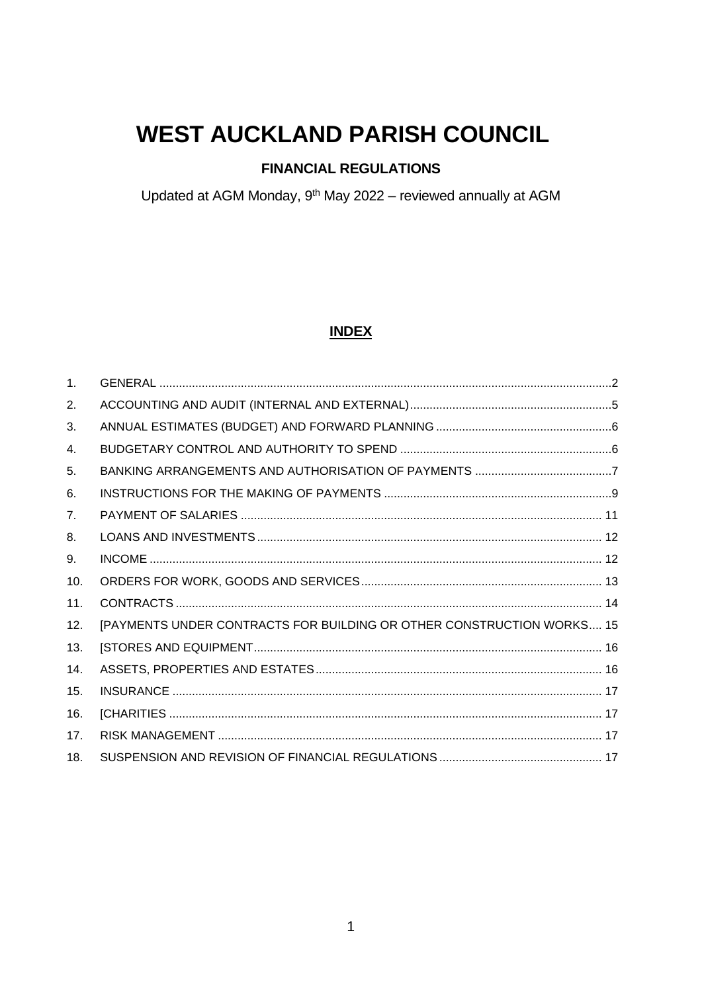# **WEST AUCKLAND PARISH COUNCIL**

## **FINANCIAL REGULATIONS**

Updated at AGM Monday, 9<sup>th</sup> May 2022 - reviewed annually at AGM

## **INDEX**

| $\mathbf{1}$ . |                                                                       |
|----------------|-----------------------------------------------------------------------|
| 2.             |                                                                       |
| 3.             |                                                                       |
| 4.             |                                                                       |
| 5.             |                                                                       |
| 6.             |                                                                       |
| 7.             |                                                                       |
| 8.             |                                                                       |
| 9.             |                                                                       |
| 10.            |                                                                       |
| 11.            |                                                                       |
| 12.            | [PAYMENTS UNDER CONTRACTS FOR BUILDING OR OTHER CONSTRUCTION WORKS 15 |
| 13.            |                                                                       |
| 14.            |                                                                       |
| 15.            |                                                                       |
| 16.            |                                                                       |
| 17.            |                                                                       |
| 18.            |                                                                       |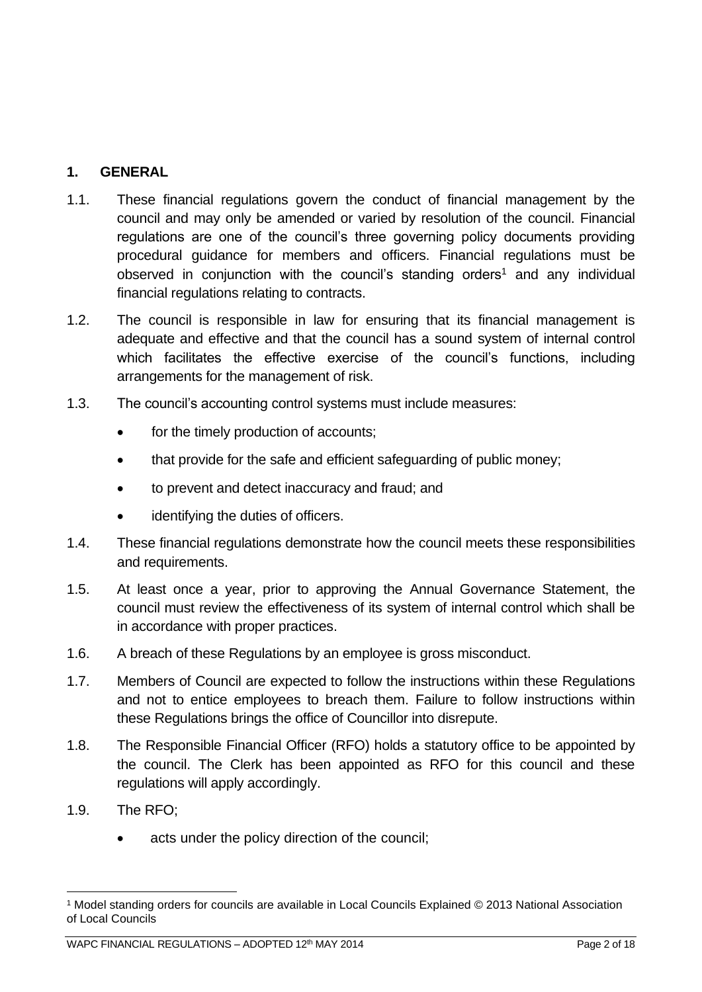## <span id="page-1-0"></span>**1. GENERAL**

- 1.1. These financial regulations govern the conduct of financial management by the council and may only be amended or varied by resolution of the council. Financial regulations are one of the council's three governing policy documents providing procedural guidance for members and officers. Financial regulations must be observed in conjunction with the council's standing orders<sup>1</sup> and any individual financial regulations relating to contracts.
- 1.2. The council is responsible in law for ensuring that its financial management is adequate and effective and that the council has a sound system of internal control which facilitates the effective exercise of the council's functions, including arrangements for the management of risk.
- 1.3. The council's accounting control systems must include measures:
	- for the timely production of accounts;
	- that provide for the safe and efficient safeguarding of public money;
	- to prevent and detect inaccuracy and fraud; and
	- identifying the duties of officers.
- 1.4. These financial regulations demonstrate how the council meets these responsibilities and requirements.
- 1.5. At least once a year, prior to approving the Annual Governance Statement, the council must review the effectiveness of its system of internal control which shall be in accordance with proper practices.
- 1.6. A breach of these Regulations by an employee is gross misconduct.
- 1.7. Members of Council are expected to follow the instructions within these Regulations and not to entice employees to breach them. Failure to follow instructions within these Regulations brings the office of Councillor into disrepute.
- 1.8. The Responsible Financial Officer (RFO) holds a statutory office to be appointed by the council. The Clerk has been appointed as RFO for this council and these regulations will apply accordingly.
- 1.9. The RFO;
	- acts under the policy direction of the council;

<sup>1</sup> Model standing orders for councils are available in Local Councils Explained © 2013 National Association of Local Councils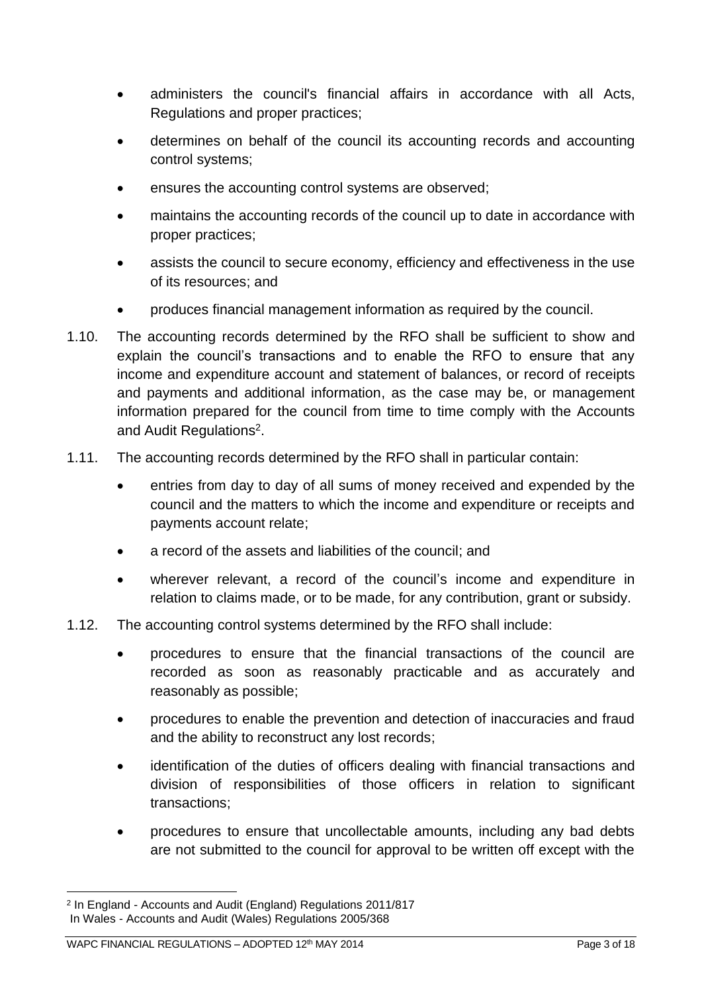- administers the council's financial affairs in accordance with all Acts, Regulations and proper practices;
- determines on behalf of the council its accounting records and accounting control systems;
- ensures the accounting control systems are observed;
- maintains the accounting records of the council up to date in accordance with proper practices;
- assists the council to secure economy, efficiency and effectiveness in the use of its resources; and
- produces financial management information as required by the council.
- 1.10. The accounting records determined by the RFO shall be sufficient to show and explain the council's transactions and to enable the RFO to ensure that any income and expenditure account and statement of balances, or record of receipts and payments and additional information, as the case may be, or management information prepared for the council from time to time comply with the Accounts and Audit Regulations<sup>2</sup>.
- 1.11. The accounting records determined by the RFO shall in particular contain:
	- entries from day to day of all sums of money received and expended by the council and the matters to which the income and expenditure or receipts and payments account relate;
	- a record of the assets and liabilities of the council; and
	- wherever relevant, a record of the council's income and expenditure in relation to claims made, or to be made, for any contribution, grant or subsidy.
- 1.12. The accounting control systems determined by the RFO shall include:
	- procedures to ensure that the financial transactions of the council are recorded as soon as reasonably practicable and as accurately and reasonably as possible;
	- procedures to enable the prevention and detection of inaccuracies and fraud and the ability to reconstruct any lost records;
	- identification of the duties of officers dealing with financial transactions and division of responsibilities of those officers in relation to significant transactions;
	- procedures to ensure that uncollectable amounts, including any bad debts are not submitted to the council for approval to be written off except with the

<sup>2</sup> In England - Accounts and Audit (England) Regulations 2011/817 In Wales - Accounts and Audit (Wales) Regulations 2005/368

WAPC FINANCIAL REGULATIONS - ADOPTED 12<sup>th</sup> MAY 2014 **Page 3 of 18** Page 3 of 18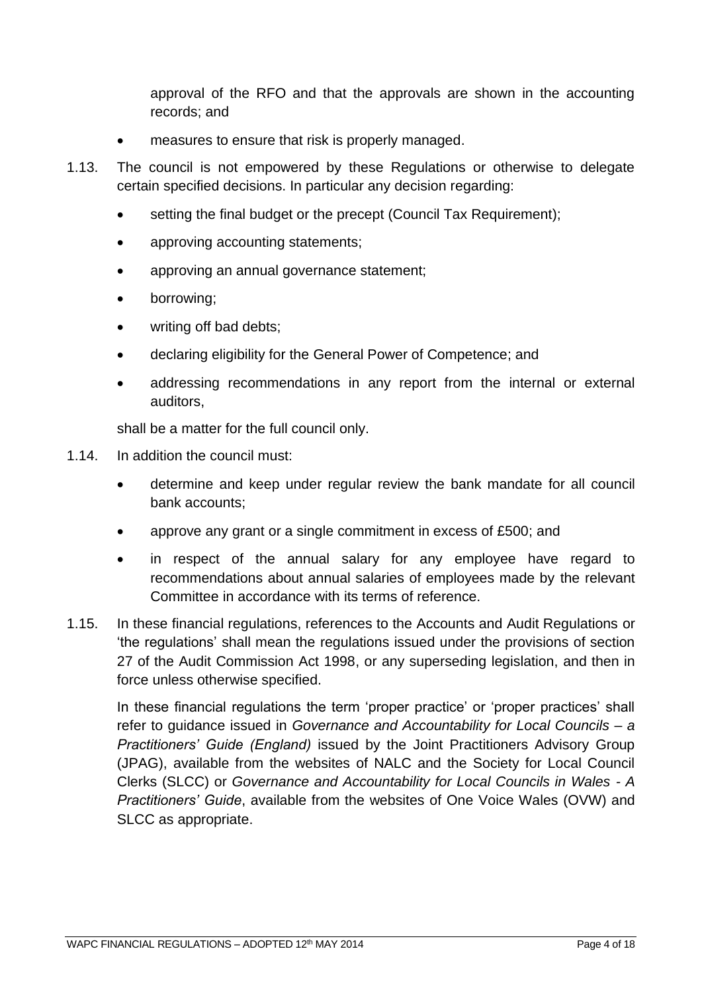approval of the RFO and that the approvals are shown in the accounting records; and

- measures to ensure that risk is properly managed.
- 1.13. The council is not empowered by these Regulations or otherwise to delegate certain specified decisions. In particular any decision regarding:
	- setting the final budget or the precept (Council Tax Requirement);
	- approving accounting statements;
	- approving an annual governance statement;
	- borrowing;
	- writing off bad debts:
	- declaring eligibility for the General Power of Competence; and
	- addressing recommendations in any report from the internal or external auditors,

shall be a matter for the full council only.

- 1.14. In addition the council must:
	- determine and keep under regular review the bank mandate for all council bank accounts;
	- approve any grant or a single commitment in excess of £500; and
	- in respect of the annual salary for any employee have regard to recommendations about annual salaries of employees made by the relevant Committee in accordance with its terms of reference.
- 1.15. In these financial regulations, references to the Accounts and Audit Regulations or 'the regulations' shall mean the regulations issued under the provisions of section 27 of the Audit Commission Act 1998, or any superseding legislation, and then in force unless otherwise specified.

In these financial regulations the term 'proper practice' or 'proper practices' shall refer to guidance issued in *Governance and Accountability for Local Councils – a Practitioners' Guide (England)* issued by the Joint Practitioners Advisory Group (JPAG), available from the websites of NALC and the Society for Local Council Clerks (SLCC) or *Governance and Accountability for Local Councils in Wales - A Practitioners' Guide*, available from the websites of One Voice Wales (OVW) and SLCC as appropriate.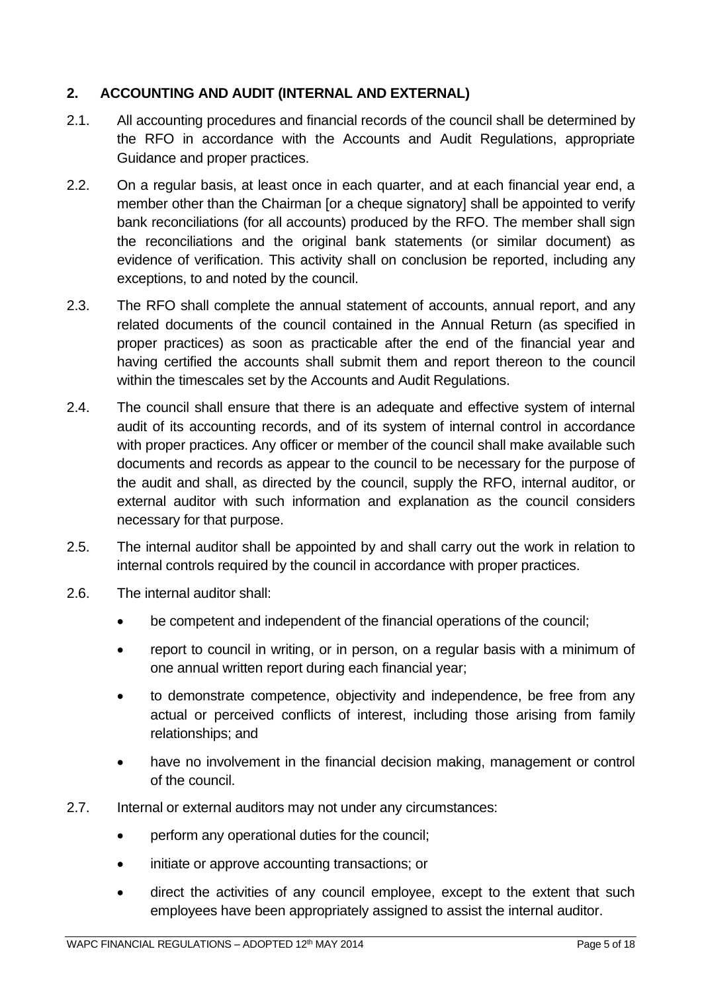## <span id="page-4-0"></span>**2. ACCOUNTING AND AUDIT (INTERNAL AND EXTERNAL)**

- 2.1. All accounting procedures and financial records of the council shall be determined by the RFO in accordance with the Accounts and Audit Regulations, appropriate Guidance and proper practices.
- 2.2. On a regular basis, at least once in each quarter, and at each financial year end, a member other than the Chairman [or a cheque signatory] shall be appointed to verify bank reconciliations (for all accounts) produced by the RFO. The member shall sign the reconciliations and the original bank statements (or similar document) as evidence of verification. This activity shall on conclusion be reported, including any exceptions, to and noted by the council.
- 2.3. The RFO shall complete the annual statement of accounts, annual report, and any related documents of the council contained in the Annual Return (as specified in proper practices) as soon as practicable after the end of the financial year and having certified the accounts shall submit them and report thereon to the council within the timescales set by the Accounts and Audit Regulations.
- 2.4. The council shall ensure that there is an adequate and effective system of internal audit of its accounting records, and of its system of internal control in accordance with proper practices. Any officer or member of the council shall make available such documents and records as appear to the council to be necessary for the purpose of the audit and shall, as directed by the council, supply the RFO, internal auditor, or external auditor with such information and explanation as the council considers necessary for that purpose.
- 2.5. The internal auditor shall be appointed by and shall carry out the work in relation to internal controls required by the council in accordance with proper practices.
- 2.6. The internal auditor shall:
	- be competent and independent of the financial operations of the council;
	- report to council in writing, or in person, on a regular basis with a minimum of one annual written report during each financial year;
	- to demonstrate competence, objectivity and independence, be free from any actual or perceived conflicts of interest, including those arising from family relationships; and
	- have no involvement in the financial decision making, management or control of the council.
- 2.7. Internal or external auditors may not under any circumstances:
	- perform any operational duties for the council;
	- initiate or approve accounting transactions; or
	- direct the activities of any council employee, except to the extent that such employees have been appropriately assigned to assist the internal auditor.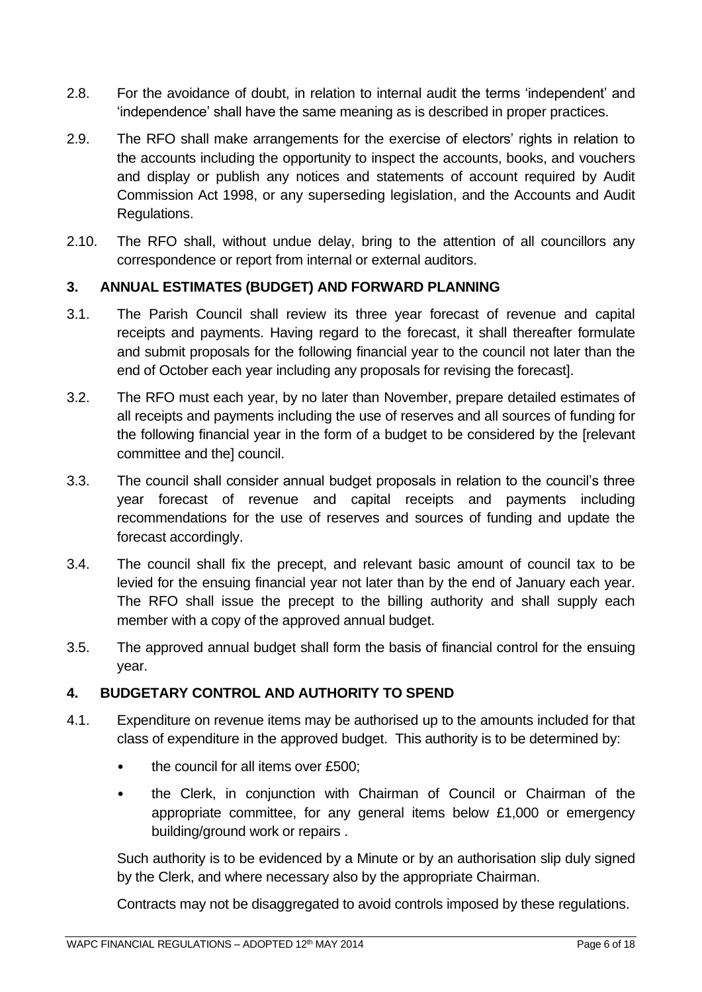- 2.8. For the avoidance of doubt, in relation to internal audit the terms 'independent' and 'independence' shall have the same meaning as is described in proper practices.
- 2.9. The RFO shall make arrangements for the exercise of electors' rights in relation to the accounts including the opportunity to inspect the accounts, books, and vouchers and display or publish any notices and statements of account required by Audit Commission Act 1998, or any superseding legislation, and the Accounts and Audit Regulations.
- 2.10. The RFO shall, without undue delay, bring to the attention of all councillors any correspondence or report from internal or external auditors.

## <span id="page-5-0"></span>**3. ANNUAL ESTIMATES (BUDGET) AND FORWARD PLANNING**

- 3.1. The Parish Council shall review its three year forecast of revenue and capital receipts and payments. Having regard to the forecast, it shall thereafter formulate and submit proposals for the following financial year to the council not later than the end of October each year including any proposals for revising the forecast].
- 3.2. The RFO must each year, by no later than November, prepare detailed estimates of all receipts and payments including the use of reserves and all sources of funding for the following financial year in the form of a budget to be considered by the [relevant committee and the] council.
- 3.3. The council shall consider annual budget proposals in relation to the council's three year forecast of revenue and capital receipts and payments including recommendations for the use of reserves and sources of funding and update the forecast accordingly.
- 3.4. The council shall fix the precept, and relevant basic amount of council tax to be levied for the ensuing financial year not later than by the end of January each year. The RFO shall issue the precept to the billing authority and shall supply each member with a copy of the approved annual budget.
- 3.5. The approved annual budget shall form the basis of financial control for the ensuing year.

## <span id="page-5-1"></span>**4. BUDGETARY CONTROL AND AUTHORITY TO SPEND**

- 4.1. Expenditure on revenue items may be authorised up to the amounts included for that class of expenditure in the approved budget. This authority is to be determined by:
	- the council for all items over £500;
	- the Clerk, in conjunction with Chairman of Council or Chairman of the appropriate committee, for any general items below £1,000 or emergency building/ground work or repairs .

Such authority is to be evidenced by a Minute or by an authorisation slip duly signed by the Clerk, and where necessary also by the appropriate Chairman.

Contracts may not be disaggregated to avoid controls imposed by these regulations.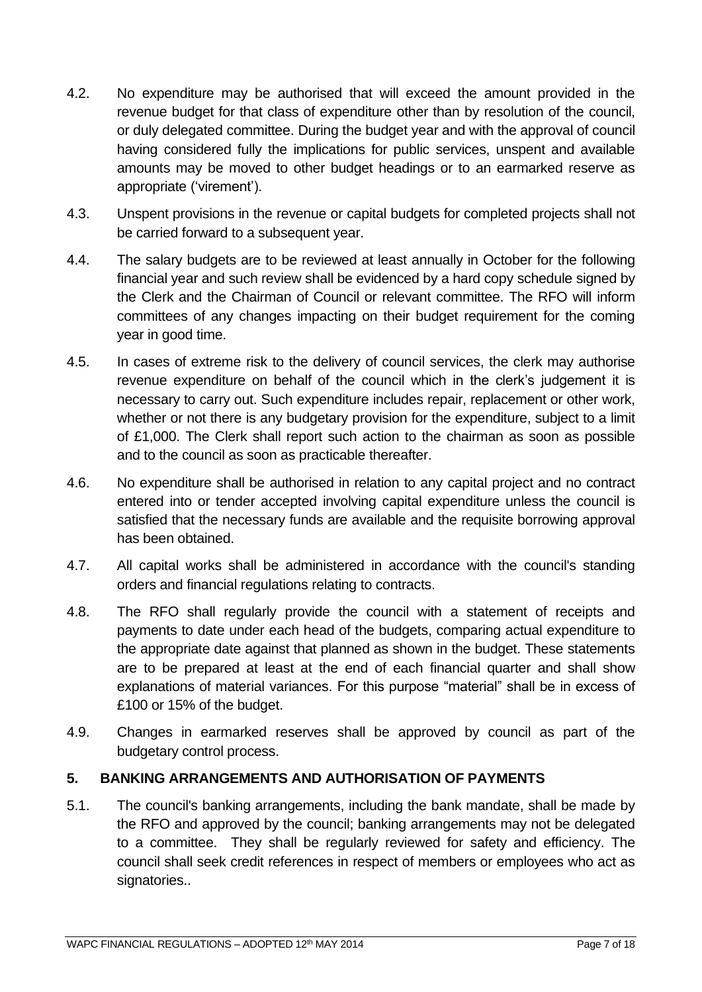- 4.2. No expenditure may be authorised that will exceed the amount provided in the revenue budget for that class of expenditure other than by resolution of the council, or duly delegated committee. During the budget year and with the approval of council having considered fully the implications for public services, unspent and available amounts may be moved to other budget headings or to an earmarked reserve as appropriate ('virement').
- 4.3. Unspent provisions in the revenue or capital budgets for completed projects shall not be carried forward to a subsequent year.
- 4.4. The salary budgets are to be reviewed at least annually in October for the following financial year and such review shall be evidenced by a hard copy schedule signed by the Clerk and the Chairman of Council or relevant committee. The RFO will inform committees of any changes impacting on their budget requirement for the coming year in good time.
- 4.5. In cases of extreme risk to the delivery of council services, the clerk may authorise revenue expenditure on behalf of the council which in the clerk's judgement it is necessary to carry out. Such expenditure includes repair, replacement or other work, whether or not there is any budgetary provision for the expenditure, subject to a limit of £1,000. The Clerk shall report such action to the chairman as soon as possible and to the council as soon as practicable thereafter.
- 4.6. No expenditure shall be authorised in relation to any capital project and no contract entered into or tender accepted involving capital expenditure unless the council is satisfied that the necessary funds are available and the requisite borrowing approval has been obtained.
- 4.7. All capital works shall be administered in accordance with the council's standing orders and financial regulations relating to contracts.
- 4.8. The RFO shall regularly provide the council with a statement of receipts and payments to date under each head of the budgets, comparing actual expenditure to the appropriate date against that planned as shown in the budget. These statements are to be prepared at least at the end of each financial quarter and shall show explanations of material variances. For this purpose "material" shall be in excess of £100 or 15% of the budget.
- 4.9. Changes in earmarked reserves shall be approved by council as part of the budgetary control process.

## <span id="page-6-0"></span>**5. BANKING ARRANGEMENTS AND AUTHORISATION OF PAYMENTS**

5.1. The council's banking arrangements, including the bank mandate, shall be made by the RFO and approved by the council; banking arrangements may not be delegated to a committee. They shall be regularly reviewed for safety and efficiency. The council shall seek credit references in respect of members or employees who act as signatories..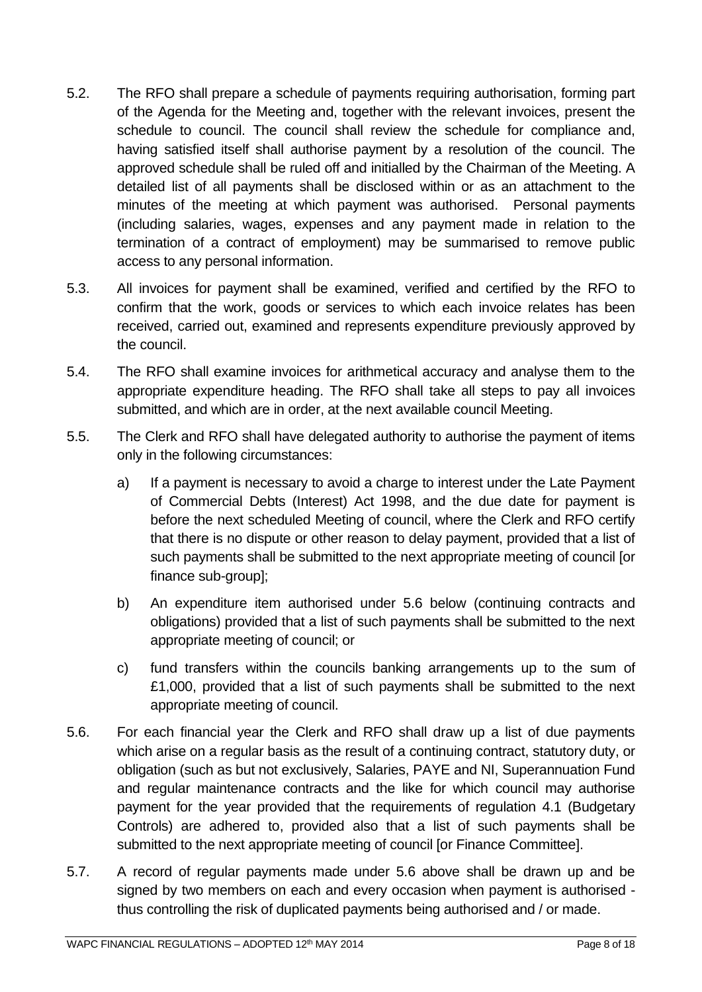- 5.2. The RFO shall prepare a schedule of payments requiring authorisation, forming part of the Agenda for the Meeting and, together with the relevant invoices, present the schedule to council. The council shall review the schedule for compliance and, having satisfied itself shall authorise payment by a resolution of the council. The approved schedule shall be ruled off and initialled by the Chairman of the Meeting. A detailed list of all payments shall be disclosed within or as an attachment to the minutes of the meeting at which payment was authorised. Personal payments (including salaries, wages, expenses and any payment made in relation to the termination of a contract of employment) may be summarised to remove public access to any personal information.
- 5.3. All invoices for payment shall be examined, verified and certified by the RFO to confirm that the work, goods or services to which each invoice relates has been received, carried out, examined and represents expenditure previously approved by the council.
- 5.4. The RFO shall examine invoices for arithmetical accuracy and analyse them to the appropriate expenditure heading. The RFO shall take all steps to pay all invoices submitted, and which are in order, at the next available council Meeting.
- 5.5. The Clerk and RFO shall have delegated authority to authorise the payment of items only in the following circumstances:
	- a) If a payment is necessary to avoid a charge to interest under the Late Payment of Commercial Debts (Interest) Act 1998, and the due date for payment is before the next scheduled Meeting of council, where the Clerk and RFO certify that there is no dispute or other reason to delay payment, provided that a list of such payments shall be submitted to the next appropriate meeting of council [or finance sub-group];
	- b) An expenditure item authorised under 5.6 below (continuing contracts and obligations) provided that a list of such payments shall be submitted to the next appropriate meeting of council; or
	- c) fund transfers within the councils banking arrangements up to the sum of £1,000, provided that a list of such payments shall be submitted to the next appropriate meeting of council.
- 5.6. For each financial year the Clerk and RFO shall draw up a list of due payments which arise on a regular basis as the result of a continuing contract, statutory duty, or obligation (such as but not exclusively, Salaries, PAYE and NI, Superannuation Fund and regular maintenance contracts and the like for which council may authorise payment for the year provided that the requirements of regulation 4.1 (Budgetary Controls) are adhered to, provided also that a list of such payments shall be submitted to the next appropriate meeting of council [or Finance Committee].
- 5.7. A record of regular payments made under 5.6 above shall be drawn up and be signed by two members on each and every occasion when payment is authorised thus controlling the risk of duplicated payments being authorised and / or made.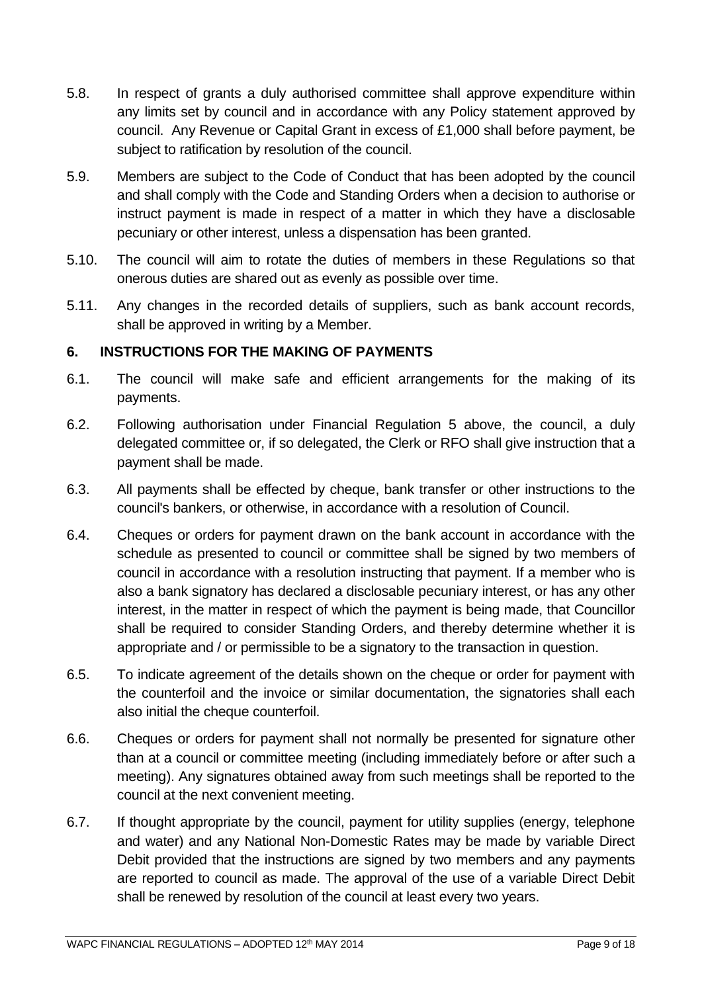- 5.8. In respect of grants a duly authorised committee shall approve expenditure within any limits set by council and in accordance with any Policy statement approved by council. Any Revenue or Capital Grant in excess of £1,000 shall before payment, be subject to ratification by resolution of the council.
- 5.9. Members are subject to the Code of Conduct that has been adopted by the council and shall comply with the Code and Standing Orders when a decision to authorise or instruct payment is made in respect of a matter in which they have a disclosable pecuniary or other interest, unless a dispensation has been granted.
- 5.10. The council will aim to rotate the duties of members in these Regulations so that onerous duties are shared out as evenly as possible over time.
- 5.11. Any changes in the recorded details of suppliers, such as bank account records, shall be approved in writing by a Member.

## <span id="page-8-0"></span>**6. INSTRUCTIONS FOR THE MAKING OF PAYMENTS**

- 6.1. The council will make safe and efficient arrangements for the making of its payments.
- 6.2. Following authorisation under Financial Regulation 5 above, the council, a duly delegated committee or, if so delegated, the Clerk or RFO shall give instruction that a payment shall be made.
- 6.3. All payments shall be effected by cheque, bank transfer or other instructions to the council's bankers, or otherwise, in accordance with a resolution of Council.
- 6.4. Cheques or orders for payment drawn on the bank account in accordance with the schedule as presented to council or committee shall be signed by two members of council in accordance with a resolution instructing that payment. If a member who is also a bank signatory has declared a disclosable pecuniary interest, or has any other interest, in the matter in respect of which the payment is being made, that Councillor shall be required to consider Standing Orders, and thereby determine whether it is appropriate and / or permissible to be a signatory to the transaction in question.
- 6.5. To indicate agreement of the details shown on the cheque or order for payment with the counterfoil and the invoice or similar documentation, the signatories shall each also initial the cheque counterfoil.
- 6.6. Cheques or orders for payment shall not normally be presented for signature other than at a council or committee meeting (including immediately before or after such a meeting). Any signatures obtained away from such meetings shall be reported to the council at the next convenient meeting.
- 6.7. If thought appropriate by the council, payment for utility supplies (energy, telephone and water) and any National Non-Domestic Rates may be made by variable Direct Debit provided that the instructions are signed by two members and any payments are reported to council as made. The approval of the use of a variable Direct Debit shall be renewed by resolution of the council at least every two years.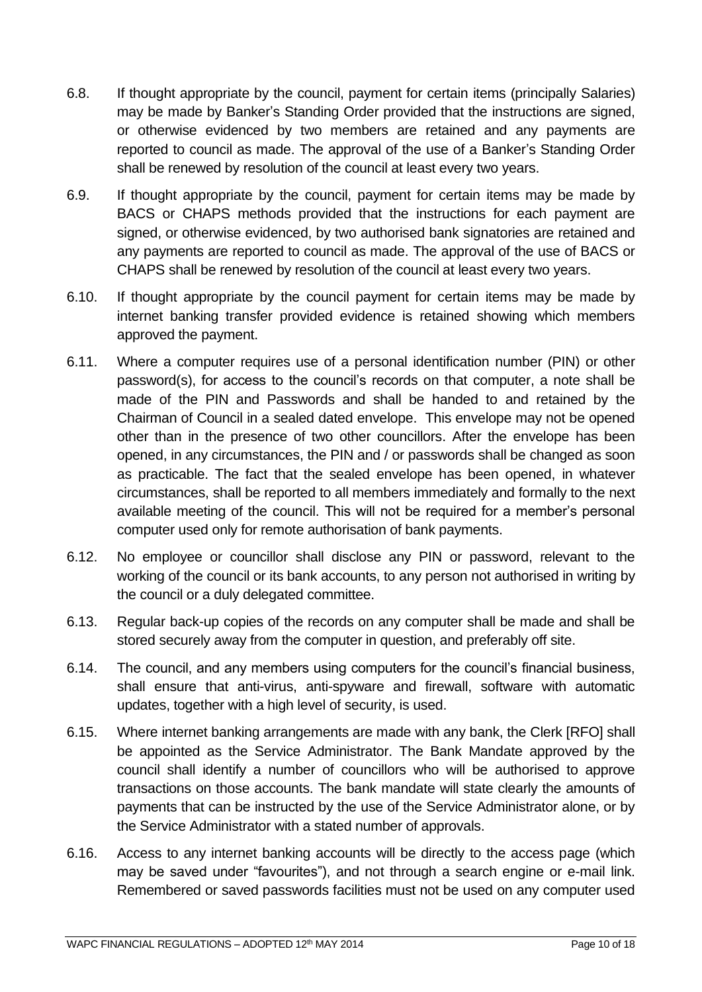- 6.8. If thought appropriate by the council, payment for certain items (principally Salaries) may be made by Banker's Standing Order provided that the instructions are signed, or otherwise evidenced by two members are retained and any payments are reported to council as made. The approval of the use of a Banker's Standing Order shall be renewed by resolution of the council at least every two years.
- 6.9. If thought appropriate by the council, payment for certain items may be made by BACS or CHAPS methods provided that the instructions for each payment are signed, or otherwise evidenced, by two authorised bank signatories are retained and any payments are reported to council as made. The approval of the use of BACS or CHAPS shall be renewed by resolution of the council at least every two years.
- 6.10. If thought appropriate by the council payment for certain items may be made by internet banking transfer provided evidence is retained showing which members approved the payment.
- 6.11. Where a computer requires use of a personal identification number (PIN) or other password(s), for access to the council's records on that computer, a note shall be made of the PIN and Passwords and shall be handed to and retained by the Chairman of Council in a sealed dated envelope. This envelope may not be opened other than in the presence of two other councillors. After the envelope has been opened, in any circumstances, the PIN and / or passwords shall be changed as soon as practicable. The fact that the sealed envelope has been opened, in whatever circumstances, shall be reported to all members immediately and formally to the next available meeting of the council. This will not be required for a member's personal computer used only for remote authorisation of bank payments.
- 6.12. No employee or councillor shall disclose any PIN or password, relevant to the working of the council or its bank accounts, to any person not authorised in writing by the council or a duly delegated committee.
- 6.13. Regular back-up copies of the records on any computer shall be made and shall be stored securely away from the computer in question, and preferably off site.
- 6.14. The council, and any members using computers for the council's financial business, shall ensure that anti-virus, anti-spyware and firewall, software with automatic updates, together with a high level of security, is used.
- 6.15. Where internet banking arrangements are made with any bank, the Clerk [RFO] shall be appointed as the Service Administrator. The Bank Mandate approved by the council shall identify a number of councillors who will be authorised to approve transactions on those accounts. The bank mandate will state clearly the amounts of payments that can be instructed by the use of the Service Administrator alone, or by the Service Administrator with a stated number of approvals.
- 6.16. Access to any internet banking accounts will be directly to the access page (which may be saved under "favourites"), and not through a search engine or e-mail link. Remembered or saved passwords facilities must not be used on any computer used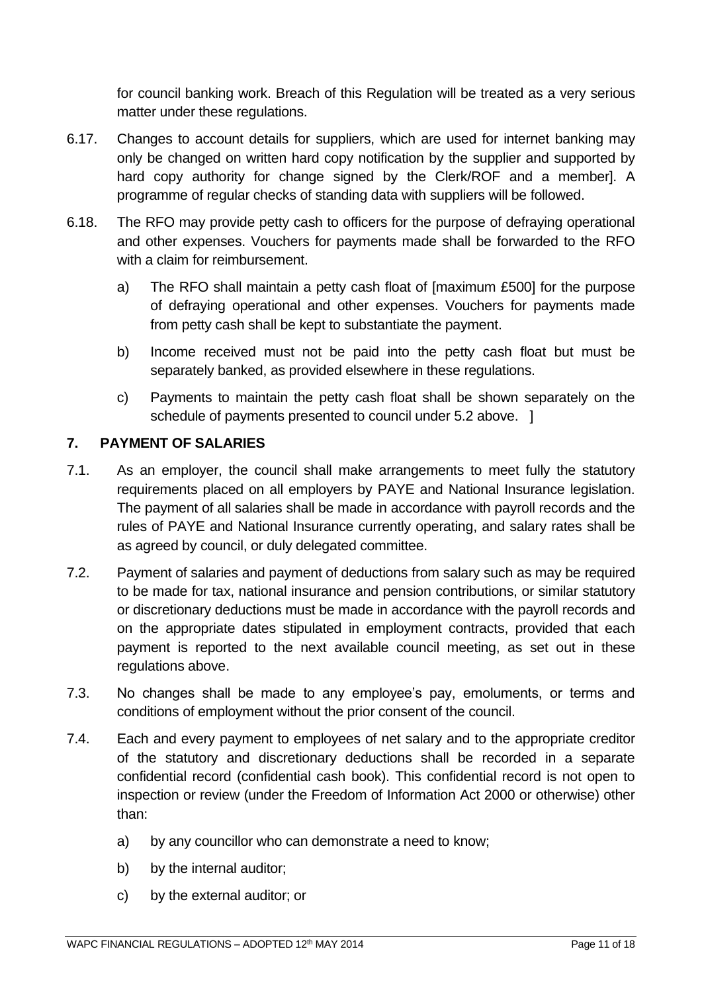for council banking work. Breach of this Regulation will be treated as a very serious matter under these regulations.

- 6.17. Changes to account details for suppliers, which are used for internet banking may only be changed on written hard copy notification by the supplier and supported by hard copy authority for change signed by the Clerk/ROF and a memberl. A programme of regular checks of standing data with suppliers will be followed.
- 6.18. The RFO may provide petty cash to officers for the purpose of defraying operational and other expenses. Vouchers for payments made shall be forwarded to the RFO with a claim for reimbursement.
	- a) The RFO shall maintain a petty cash float of [maximum £500] for the purpose of defraying operational and other expenses. Vouchers for payments made from petty cash shall be kept to substantiate the payment.
	- b) Income received must not be paid into the petty cash float but must be separately banked, as provided elsewhere in these regulations.
	- c) Payments to maintain the petty cash float shall be shown separately on the schedule of payments presented to council under 5.2 above. ]

## <span id="page-10-0"></span>**7. PAYMENT OF SALARIES**

- 7.1. As an employer, the council shall make arrangements to meet fully the statutory requirements placed on all employers by PAYE and National Insurance legislation. The payment of all salaries shall be made in accordance with payroll records and the rules of PAYE and National Insurance currently operating, and salary rates shall be as agreed by council, or duly delegated committee.
- 7.2. Payment of salaries and payment of deductions from salary such as may be required to be made for tax, national insurance and pension contributions, or similar statutory or discretionary deductions must be made in accordance with the payroll records and on the appropriate dates stipulated in employment contracts, provided that each payment is reported to the next available council meeting, as set out in these regulations above.
- 7.3. No changes shall be made to any employee's pay, emoluments, or terms and conditions of employment without the prior consent of the council.
- 7.4. Each and every payment to employees of net salary and to the appropriate creditor of the statutory and discretionary deductions shall be recorded in a separate confidential record (confidential cash book). This confidential record is not open to inspection or review (under the Freedom of Information Act 2000 or otherwise) other than:
	- a) by any councillor who can demonstrate a need to know;
	- b) by the internal auditor;
	- c) by the external auditor; or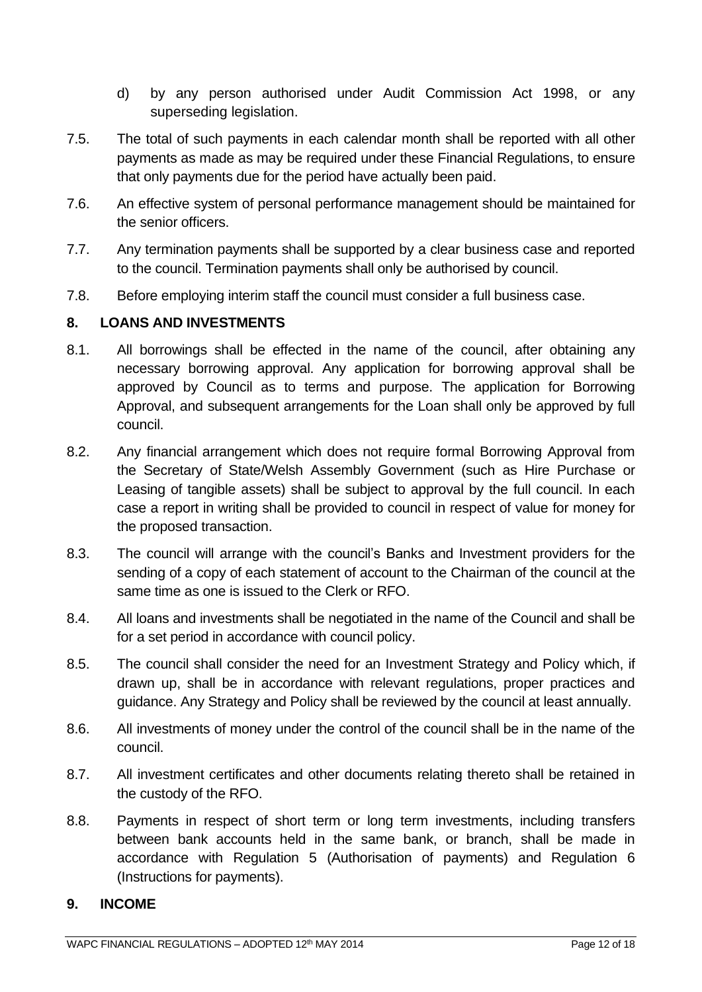- d) by any person authorised under Audit Commission Act 1998, or any superseding legislation.
- 7.5. The total of such payments in each calendar month shall be reported with all other payments as made as may be required under these Financial Regulations, to ensure that only payments due for the period have actually been paid.
- 7.6. An effective system of personal performance management should be maintained for the senior officers.
- 7.7. Any termination payments shall be supported by a clear business case and reported to the council. Termination payments shall only be authorised by council.
- 7.8. Before employing interim staff the council must consider a full business case.

## <span id="page-11-0"></span>**8. LOANS AND INVESTMENTS**

- 8.1. All borrowings shall be effected in the name of the council, after obtaining any necessary borrowing approval. Any application for borrowing approval shall be approved by Council as to terms and purpose. The application for Borrowing Approval, and subsequent arrangements for the Loan shall only be approved by full council.
- 8.2. Any financial arrangement which does not require formal Borrowing Approval from the Secretary of State/Welsh Assembly Government (such as Hire Purchase or Leasing of tangible assets) shall be subject to approval by the full council. In each case a report in writing shall be provided to council in respect of value for money for the proposed transaction.
- 8.3. The council will arrange with the council's Banks and Investment providers for the sending of a copy of each statement of account to the Chairman of the council at the same time as one is issued to the Clerk or RFO.
- 8.4. All loans and investments shall be negotiated in the name of the Council and shall be for a set period in accordance with council policy.
- 8.5. The council shall consider the need for an Investment Strategy and Policy which, if drawn up, shall be in accordance with relevant regulations, proper practices and guidance. Any Strategy and Policy shall be reviewed by the council at least annually.
- 8.6. All investments of money under the control of the council shall be in the name of the council.
- 8.7. All investment certificates and other documents relating thereto shall be retained in the custody of the RFO.
- 8.8. Payments in respect of short term or long term investments, including transfers between bank accounts held in the same bank, or branch, shall be made in accordance with Regulation 5 (Authorisation of payments) and Regulation 6 (Instructions for payments).

#### <span id="page-11-1"></span>**9. INCOME**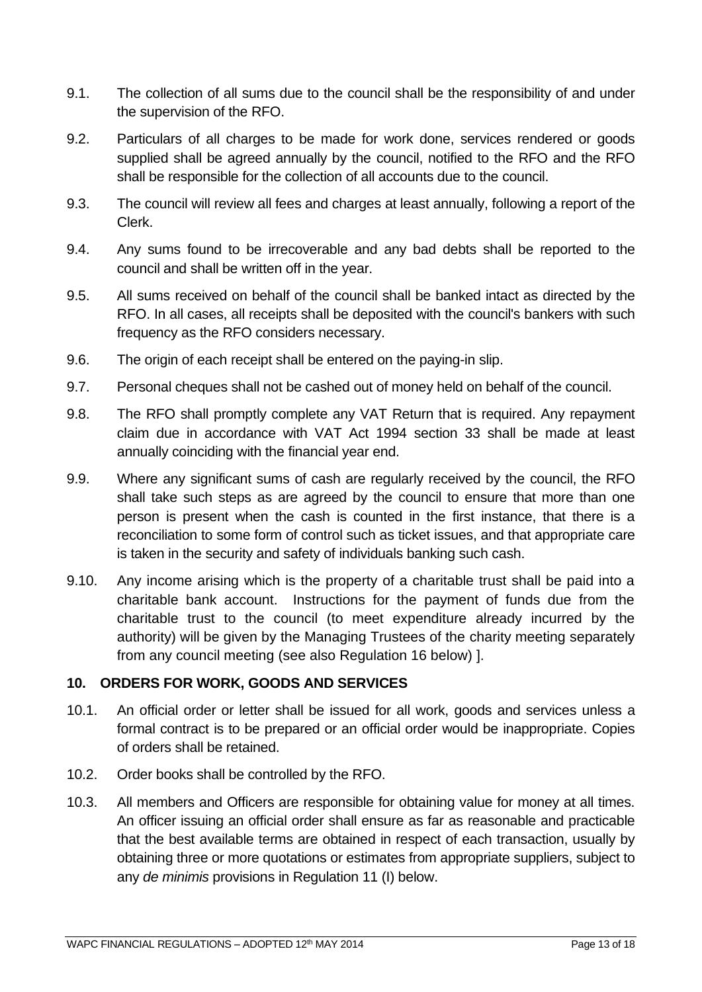- 9.1. The collection of all sums due to the council shall be the responsibility of and under the supervision of the RFO.
- 9.2. Particulars of all charges to be made for work done, services rendered or goods supplied shall be agreed annually by the council, notified to the RFO and the RFO shall be responsible for the collection of all accounts due to the council.
- 9.3. The council will review all fees and charges at least annually, following a report of the Clerk.
- 9.4. Any sums found to be irrecoverable and any bad debts shall be reported to the council and shall be written off in the year.
- 9.5. All sums received on behalf of the council shall be banked intact as directed by the RFO. In all cases, all receipts shall be deposited with the council's bankers with such frequency as the RFO considers necessary.
- 9.6. The origin of each receipt shall be entered on the paying-in slip.
- 9.7. Personal cheques shall not be cashed out of money held on behalf of the council.
- 9.8. The RFO shall promptly complete any VAT Return that is required. Any repayment claim due in accordance with VAT Act 1994 section 33 shall be made at least annually coinciding with the financial year end.
- 9.9. Where any significant sums of cash are regularly received by the council, the RFO shall take such steps as are agreed by the council to ensure that more than one person is present when the cash is counted in the first instance, that there is a reconciliation to some form of control such as ticket issues, and that appropriate care is taken in the security and safety of individuals banking such cash.
- 9.10. Any income arising which is the property of a charitable trust shall be paid into a charitable bank account. Instructions for the payment of funds due from the charitable trust to the council (to meet expenditure already incurred by the authority) will be given by the Managing Trustees of the charity meeting separately from any council meeting (see also Regulation 16 below) ].

## <span id="page-12-0"></span>**10. ORDERS FOR WORK, GOODS AND SERVICES**

- 10.1. An official order or letter shall be issued for all work, goods and services unless a formal contract is to be prepared or an official order would be inappropriate. Copies of orders shall be retained.
- 10.2. Order books shall be controlled by the RFO.
- 10.3. All members and Officers are responsible for obtaining value for money at all times. An officer issuing an official order shall ensure as far as reasonable and practicable that the best available terms are obtained in respect of each transaction, usually by obtaining three or more quotations or estimates from appropriate suppliers, subject to any *de minimis* provisions in Regulation 11 (I) below.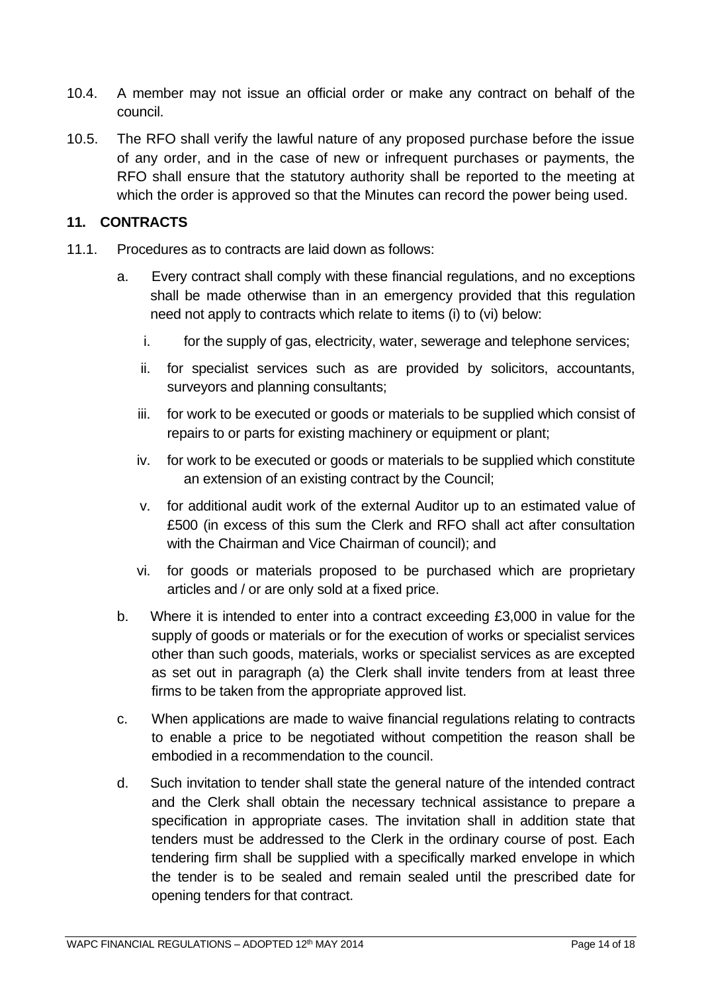- 10.4. A member may not issue an official order or make any contract on behalf of the council.
- 10.5. The RFO shall verify the lawful nature of any proposed purchase before the issue of any order, and in the case of new or infrequent purchases or payments, the RFO shall ensure that the statutory authority shall be reported to the meeting at which the order is approved so that the Minutes can record the power being used.

#### <span id="page-13-0"></span>**11. CONTRACTS**

- 11.1. Procedures as to contracts are laid down as follows:
	- a. Every contract shall comply with these financial regulations, and no exceptions shall be made otherwise than in an emergency provided that this regulation need not apply to contracts which relate to items (i) to (vi) below:
		- i. for the supply of gas, electricity, water, sewerage and telephone services;
		- ii. for specialist services such as are provided by solicitors, accountants, surveyors and planning consultants;
		- iii. for work to be executed or goods or materials to be supplied which consist of repairs to or parts for existing machinery or equipment or plant;
		- iv. for work to be executed or goods or materials to be supplied which constitute an extension of an existing contract by the Council;
		- v. for additional audit work of the external Auditor up to an estimated value of £500 (in excess of this sum the Clerk and RFO shall act after consultation with the Chairman and Vice Chairman of council); and
		- vi. for goods or materials proposed to be purchased which are proprietary articles and / or are only sold at a fixed price.
	- b. Where it is intended to enter into a contract exceeding £3,000 in value for the supply of goods or materials or for the execution of works or specialist services other than such goods, materials, works or specialist services as are excepted as set out in paragraph (a) the Clerk shall invite tenders from at least three firms to be taken from the appropriate approved list.
	- c. When applications are made to waive financial regulations relating to contracts to enable a price to be negotiated without competition the reason shall be embodied in a recommendation to the council.
	- d. Such invitation to tender shall state the general nature of the intended contract and the Clerk shall obtain the necessary technical assistance to prepare a specification in appropriate cases. The invitation shall in addition state that tenders must be addressed to the Clerk in the ordinary course of post. Each tendering firm shall be supplied with a specifically marked envelope in which the tender is to be sealed and remain sealed until the prescribed date for opening tenders for that contract.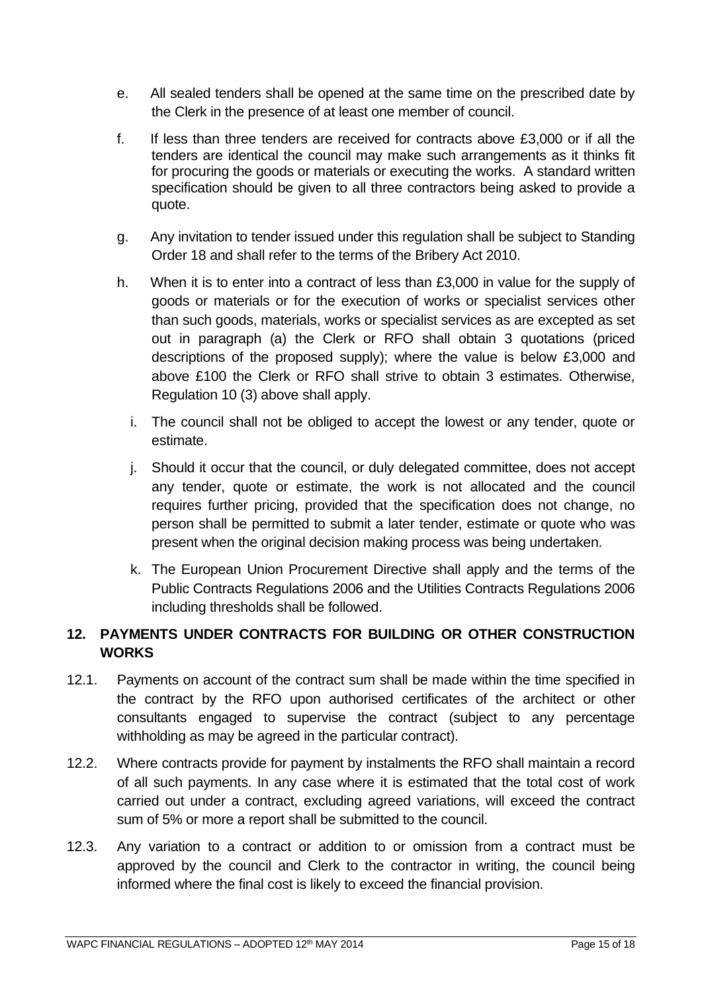- e. All sealed tenders shall be opened at the same time on the prescribed date by the Clerk in the presence of at least one member of council.
- f. If less than three tenders are received for contracts above £3,000 or if all the tenders are identical the council may make such arrangements as it thinks fit for procuring the goods or materials or executing the works. A standard written specification should be given to all three contractors being asked to provide a quote.
- g. Any invitation to tender issued under this regulation shall be subject to Standing Order 18 and shall refer to the terms of the Bribery Act 2010.
- h. When it is to enter into a contract of less than £3,000 in value for the supply of goods or materials or for the execution of works or specialist services other than such goods, materials, works or specialist services as are excepted as set out in paragraph (a) the Clerk or RFO shall obtain 3 quotations (priced descriptions of the proposed supply); where the value is below £3,000 and above £100 the Clerk or RFO shall strive to obtain 3 estimates. Otherwise, Regulation 10 (3) above shall apply.
	- i. The council shall not be obliged to accept the lowest or any tender, quote or estimate.
	- j. Should it occur that the council, or duly delegated committee, does not accept any tender, quote or estimate, the work is not allocated and the council requires further pricing, provided that the specification does not change, no person shall be permitted to submit a later tender, estimate or quote who was present when the original decision making process was being undertaken.
	- k. The European Union Procurement Directive shall apply and the terms of the Public Contracts Regulations 2006 and the Utilities Contracts Regulations 2006 including thresholds shall be followed.

## <span id="page-14-0"></span>**12. PAYMENTS UNDER CONTRACTS FOR BUILDING OR OTHER CONSTRUCTION WORKS**

- 12.1. Payments on account of the contract sum shall be made within the time specified in the contract by the RFO upon authorised certificates of the architect or other consultants engaged to supervise the contract (subject to any percentage withholding as may be agreed in the particular contract).
- 12.2. Where contracts provide for payment by instalments the RFO shall maintain a record of all such payments. In any case where it is estimated that the total cost of work carried out under a contract, excluding agreed variations, will exceed the contract sum of 5% or more a report shall be submitted to the council.
- 12.3. Any variation to a contract or addition to or omission from a contract must be approved by the council and Clerk to the contractor in writing, the council being informed where the final cost is likely to exceed the financial provision.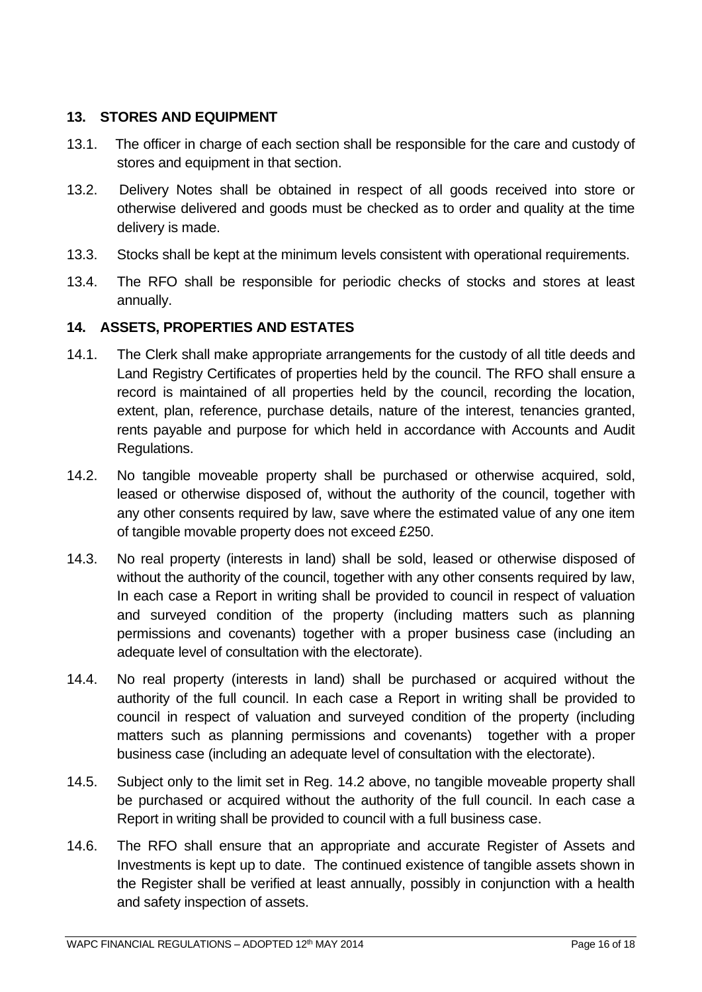## <span id="page-15-0"></span>**13. STORES AND EQUIPMENT**

- 13.1. The officer in charge of each section shall be responsible for the care and custody of stores and equipment in that section.
- 13.2. Delivery Notes shall be obtained in respect of all goods received into store or otherwise delivered and goods must be checked as to order and quality at the time delivery is made.
- 13.3. Stocks shall be kept at the minimum levels consistent with operational requirements.
- 13.4. The RFO shall be responsible for periodic checks of stocks and stores at least annually.

## <span id="page-15-1"></span>**14. ASSETS, PROPERTIES AND ESTATES**

- 14.1. The Clerk shall make appropriate arrangements for the custody of all title deeds and Land Registry Certificates of properties held by the council. The RFO shall ensure a record is maintained of all properties held by the council, recording the location, extent, plan, reference, purchase details, nature of the interest, tenancies granted, rents payable and purpose for which held in accordance with Accounts and Audit Regulations.
- 14.2. No tangible moveable property shall be purchased or otherwise acquired, sold, leased or otherwise disposed of, without the authority of the council, together with any other consents required by law, save where the estimated value of any one item of tangible movable property does not exceed £250.
- 14.3. No real property (interests in land) shall be sold, leased or otherwise disposed of without the authority of the council, together with any other consents required by law, In each case a Report in writing shall be provided to council in respect of valuation and surveyed condition of the property (including matters such as planning permissions and covenants) together with a proper business case (including an adequate level of consultation with the electorate).
- 14.4. No real property (interests in land) shall be purchased or acquired without the authority of the full council. In each case a Report in writing shall be provided to council in respect of valuation and surveyed condition of the property (including matters such as planning permissions and covenants) together with a proper business case (including an adequate level of consultation with the electorate).
- 14.5. Subject only to the limit set in Reg. 14.2 above, no tangible moveable property shall be purchased or acquired without the authority of the full council. In each case a Report in writing shall be provided to council with a full business case.
- 14.6. The RFO shall ensure that an appropriate and accurate Register of Assets and Investments is kept up to date. The continued existence of tangible assets shown in the Register shall be verified at least annually, possibly in conjunction with a health and safety inspection of assets.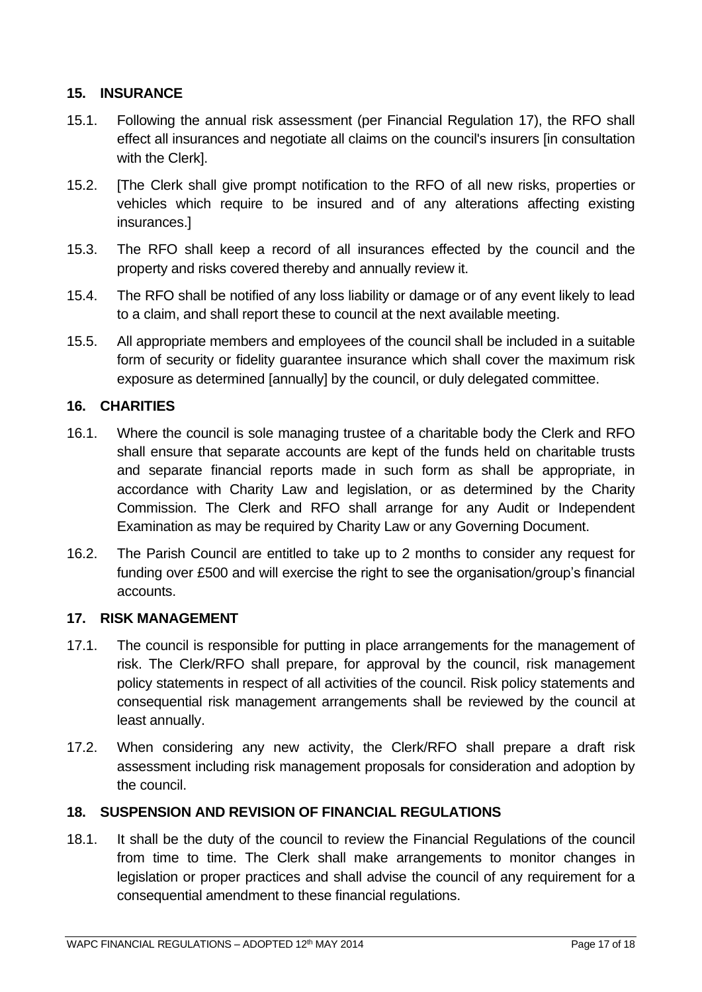## <span id="page-16-0"></span>**15. INSURANCE**

- 15.1. Following the annual risk assessment (per Financial Regulation 17), the RFO shall effect all insurances and negotiate all claims on the council's insurers [in consultation with the Clerk].
- 15.2. [The Clerk shall give prompt notification to the RFO of all new risks, properties or vehicles which require to be insured and of any alterations affecting existing insurances.]
- 15.3. The RFO shall keep a record of all insurances effected by the council and the property and risks covered thereby and annually review it.
- 15.4. The RFO shall be notified of any loss liability or damage or of any event likely to lead to a claim, and shall report these to council at the next available meeting.
- 15.5. All appropriate members and employees of the council shall be included in a suitable form of security or fidelity guarantee insurance which shall cover the maximum risk exposure as determined [annually] by the council, or duly delegated committee.

## <span id="page-16-1"></span>**16. CHARITIES**

- 16.1. Where the council is sole managing trustee of a charitable body the Clerk and RFO shall ensure that separate accounts are kept of the funds held on charitable trusts and separate financial reports made in such form as shall be appropriate, in accordance with Charity Law and legislation, or as determined by the Charity Commission. The Clerk and RFO shall arrange for any Audit or Independent Examination as may be required by Charity Law or any Governing Document.
- 16.2. The Parish Council are entitled to take up to 2 months to consider any request for funding over £500 and will exercise the right to see the organisation/group's financial accounts.

#### <span id="page-16-2"></span>**17. RISK MANAGEMENT**

- 17.1. The council is responsible for putting in place arrangements for the management of risk. The Clerk/RFO shall prepare, for approval by the council, risk management policy statements in respect of all activities of the council. Risk policy statements and consequential risk management arrangements shall be reviewed by the council at least annually.
- 17.2. When considering any new activity, the Clerk/RFO shall prepare a draft risk assessment including risk management proposals for consideration and adoption by the council.

## <span id="page-16-3"></span>**18. SUSPENSION AND REVISION OF FINANCIAL REGULATIONS**

18.1. It shall be the duty of the council to review the Financial Regulations of the council from time to time. The Clerk shall make arrangements to monitor changes in legislation or proper practices and shall advise the council of any requirement for a consequential amendment to these financial regulations.